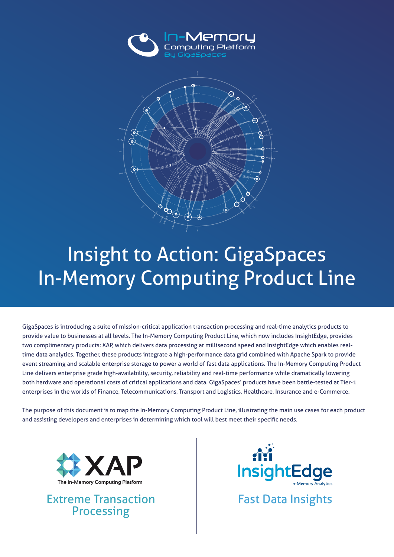



## Insight to Action: GigaSpaces **In-Memory Computing Product Line**

GigaSpaces is introducing a suite of mission-critical application transaction processing and real-time analytics products to provide value to businesses at all levels. The In-Memory Computing Product Line, which now includes InsightEdge, provides time data analytics. Together, these products integrate a high-performance data grid combined with Apache Spark to provide two complimentary products: XAP, which delivers data processing at millisecond speed and InsightEdge which enables realevent streaming and scalable enterprise storage to power a world of fast data applications. The In-Memory Computing Product Line delivers enterprise grade high-availability, security, reliability and real-time performance while dramatically lowering both hardware and operational costs of critical applications and data. GigaSpaces' products have been battle-tested at Tier-1 enterprises in the worlds of Finance, Telecommunications, Transport and Logistics, Healthcare, Insurance and e-Commerce.

The purpose of this document is to map the In-Memory Computing Product Line, illustrating the main use cases for each product and assisting developers and enterprises in determining which tool will best meet their specific needs.



Extreme Transaction Fast Data Insights Processing

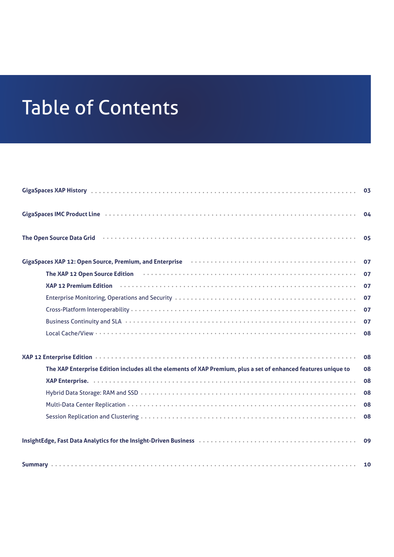## Table of Contents

|                                                                                                                                                                                                                                | 03 |
|--------------------------------------------------------------------------------------------------------------------------------------------------------------------------------------------------------------------------------|----|
|                                                                                                                                                                                                                                | 04 |
| The Open Source Data Grid <b>contains the Contract Container Contract Container</b> The Open Source Data Grid contains                                                                                                         | 05 |
| GigaSpaces XAP 12: Open Source, Premium, and Enterprise (and the content of the content of the Spaces XAP 12: Open Source, Premium, and Enterprise (and the content of the content of the content of the content of the conten | 07 |
| The XAP 12 Open Source Edition (and according to the Captainer Contract of the XAP 12 Open Source Edition (according to the Captainer Contract of The XAP 12 Open Source Edition                                               | 07 |
| XAP 12 Premium Edition (accordinate contract of the contract of the contract of the contract of the contract of                                                                                                                | 07 |
|                                                                                                                                                                                                                                | 07 |
|                                                                                                                                                                                                                                | 07 |
| Business Continuity and SLA (and according to according the set of the set of the set of the set of the set of                                                                                                                 | 07 |
|                                                                                                                                                                                                                                | 08 |
|                                                                                                                                                                                                                                | 08 |
| The XAP Enterprise Edition includes all the elements of XAP Premium, plus a set of enhanced features unique to                                                                                                                 | 08 |
|                                                                                                                                                                                                                                | 08 |
|                                                                                                                                                                                                                                | 08 |
|                                                                                                                                                                                                                                | 08 |
|                                                                                                                                                                                                                                | 08 |
| InsightEdge, Fast Data Analytics for the Insight-Driven Business (a) and contain a contained a series and cont                                                                                                                 | 09 |
|                                                                                                                                                                                                                                |    |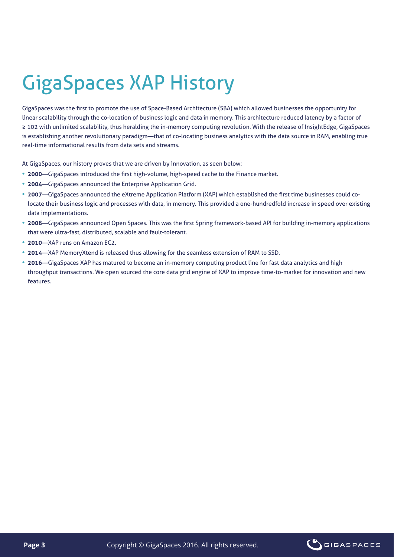# **GigaSpaces XAP History**

GigaSpaces was the first to promote the use of Space-Based Architecture (SBA) which allowed businesses the opportunity for linear scalability through the co-location of business logic and data in memory. This architecture reduced latency by a factor of ≥ 102 with unlimited scalability, thus heralding the in-memory computing revolution. With the release of InsightEdge, GigaSpaces is establishing another revolutionary paradigm—that of co-locating business analytics with the data source in RAM, enabling true real-time informational results from data sets and streams.

At GigaSpaces, our history proves that we are driven by innovation, as seen below:

- 2000—GigaSpaces introduced the first high-volume, high-speed cache to the Finance market.
- 2004-GigaSpaces announced the Enterprise Application Grid.
- locate their business logic and processes with data, in memory. This provided a one-hundredfold increase in speed over existing • 2007—GigaSpaces announced the eXtreme Application Platform (XAP) which established the first time businesses could codata implementations.
- 2008—GigaSpaces announced Open Spaces. This was the first Spring framework-based API for building in-memory applications that were ultra-fast, distributed, scalable and fault-tolerant.
- 2010—XAP runs on Amazon EC<sub>2</sub>.
- 2014-XAP MemoryXtend is released thus allowing for the seamless extension of RAM to SSD.
- 2016—GigaSpaces XAP has matured to become an in-memory computing product line for fast data analytics and high throughput transactions. We open sourced the core data grid engine of XAP to improve time-to-market for innovation and new .features

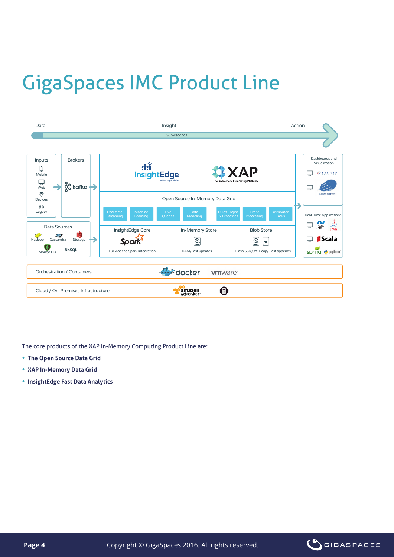## **GigaSpaces IMC Product Line**



The core products of the XAP In-Memory Computing Product Line are:

- **The Open Source Data Grid**
- **XAP In-Memory Data Grid**
- **InsightEdge Fast Data Analytics**

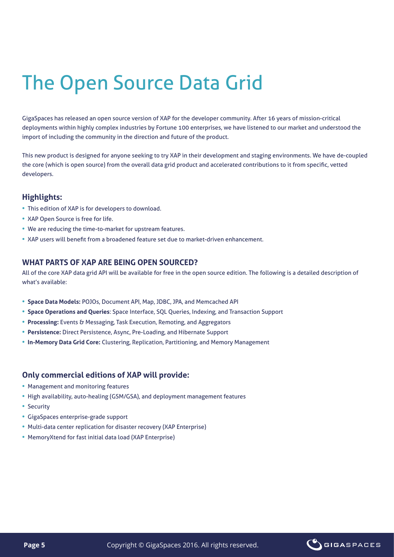## The Open Source Data Grid

GigaSpaces has released an open source version of XAP for the developer community. After 16 years of mission-critical deployments within highly complex industries by Fortune 100 enterprises, we have listened to our market and understood the import of including the community in the direction and future of the product.

This new product is designed for anyone seeking to try XAP in their development and staging environments. We have de-coupled the core (which is open source) from the overall data grid product and accelerated contributions to it from specific, vetted .developers

### **:Highlights**

- This edition of XAP is for developers to download.
- XAP Open Source is free for life.
- We are reducing the time-to-market for upstream features.
- XAP users will benefit from a broadened feature set due to market-driven enhancement.

### **WHAT PARTS OF XAP ARE BEING OPEN SOURCED?**

All of the core XAP data grid API will be available for free in the open source edition. The following is a detailed description of what's available:

- **Space Data Models: POJOs, Document API, Map, JDBC, JPA, and Memcached API**
- **Space Operations and Queries: Space Interface, SQL Queries, Indexing, and Transaction Support**
- Processing: Events & Messaging, Task Execution, Remoting, and Aggregators
- **Persistence:** Direct Persistence, Async, Pre-Loading, and Hibernate Support
- In-Memory Data Grid Core: Clustering, Replication, Partitioning, and Memory Management

#### **Only commercial editions of XAP will provide:**

- Management and monitoring features
- High availability, auto-healing (GSM/GSA), and deployment management features
- Security
- GigaSpaces enterprise-grade support
- Multi-data center replication for disaster recovery (XAP Enterprise)
- MemoryXtend for fast initial data load (XAP Enterprise)

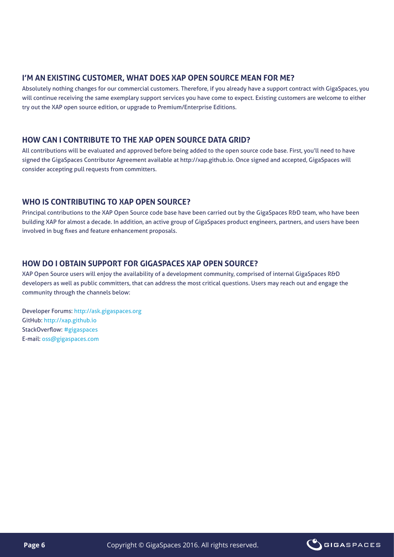## **I'M AN EXISTING CUSTOMER, WHAT DOES XAP OPEN SOURCE MEAN FOR ME?**

Absolutely nothing changes for our commercial customers. Therefore, if you already have a support contract with GigaSpaces, you will continue receiving the same exemplary support services you have come to expect. Existing customers are welcome to either try out the XAP open source edition, or upgrade to Premium/Enterprise Editions.

### **HOW CAN I CONTRIBUTE TO THE XAP OPEN SOURCE DATA GRID?**

All contributions will be evaluated and approved before being added to the open source code base. First, you'll need to have signed the GigaSpaces Contributor Agreement available at http://xap.github.io. Once signed and accepted, GigaSpaces will consider accepting pull requests from committers.

## **WHO IS CONTRIBUTING TO XAP OPEN SOURCE?**

Principal contributions to the XAP Open Source code base have been carried out by the GigaSpaces R&D team, who have been building XAP for almost a decade. In addition, an active group of GigaSpaces product engineers, partners, and users have been involved in bug fixes and feature enhancement proposals.

## **HOW DO I OBTAIN SUPPORT FOR GIGASPACES XAP OPEN SOURCE?**

KAP Open Source users will enjoy the availability of a development community, comprised of internal GigaSpaces R&D developers as well as public committers, that can address the most critical questions. Users may reach out and engage the community through the channels below:

Developer Forums: http://ask.gigaspaces.org GitHub: http://xap.github.io StackOverflow: # gigaspaces E-mail: oss@gigaspaces.com

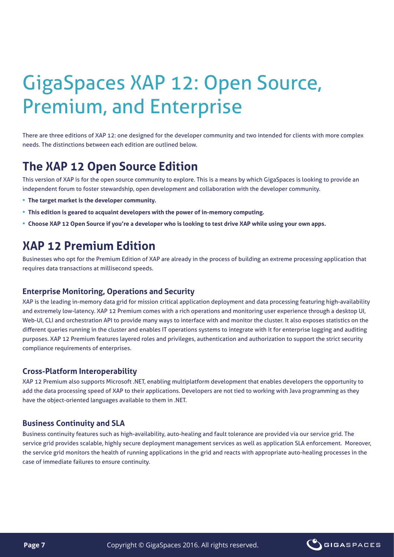## GigaSpaces XAP 12: Open Source, Premium, and Enterprise

There are three editions of XAP 12; one designed for the developer community and two intended for clients with more complex needs. The distinctions between each edition are outlined below.

## **The XAP 12 Open Source Edition**

This version of XAP is for the open source community to explore. This is a means by which GigaSpaces is looking to provide an independent forum to foster stewardship, open development and collaboration with the developer community.

- **The target market is the developer community.**
- **This edition is geared to acquaint developers with the power of in-memory computing.**
- **.** Choose XAP 12 Open Source if you're a developer who is looking to test drive XAP while using your own apps.

## **KAP 12 Premium Edition**

Businesses who opt for the Premium Edition of XAP are already in the process of building an extreme processing application that requires data transactions at millisecond speeds.

#### **Enterprise Monitoring, Operations and Security**

XAP is the leading in-memory data grid for mission critical application deployment and data processing featuring high-availability and extremely low-latency. XAP 12 Premium comes with a rich operations and monitoring user experience through a desktop UI, Web-UI, CLI and orchestration API to provide many ways to interface with and monitor the cluster. It also exposes statistics on the different queries running in the cluster and enables IT operations systems to integrate with it for enterprise logging and auditing purposes. XAP 12 Premium features layered roles and privileges, authentication and authorization to support the strict security compliance requirements of enterprises.

## **Cross-Platform Interoperability**

XAP 12 Premium also supports Microsoft .NET, enabling multiplatform development that enables developers the opportunity to add the data processing speed of XAP to their applications. Developers are not tied to working with Java programming as they have the object-oriented languages available to them in .NET.

## **Business Continuity and SLA**

Business continuity features such as high-availability, auto-healing and fault tolerance are provided via our service grid. The service grid provides scalable, highly secure deployment management services as well as application SLA enforcement. Moreover, the service grid monitors the health of running applications in the grid and reacts with appropriate auto-healing processes in the case of immediate failures to ensure continuity.

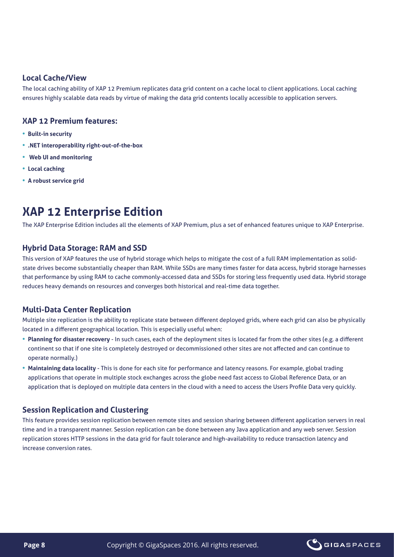### **Local Cache/View**

The local caching ability of XAP 12 Premium replicates data grid content on a cache local to client applications. Local caching ensures highly scalable data reads by virtue of making the data grid contents locally accessible to application servers.

### **XAP 12 Premium features:**

- **Built-in security**
- **.NET interoperability right-out-of-the-box**
- **•** Web UI and monitoring
- **Local caching**
- **A robust service grid**

## **KAP 12 Enterprise Edition**

The XAP Enterprise Edition includes all the elements of XAP Premium, plus a set of enhanced features unique to XAP Enterprise.

### **Hybrid Data Storage: RAM and SSD**

state drives become substantially cheaper than RAM. While SSDs are many times faster for data access, hybrid storage harnesses This version of XAP features the use of hybrid storage which helps to mitigate the cost of a full RAM implementation as solidthat performance by using RAM to cache commonly-accessed data and SSDs for storing less frequently used data. Hybrid storage reduces heavy demands on resources and converges both historical and real-time data together.

## **Multi-Data Center Replication**

Multiple site replication is the ability to replicate state between different deployed grids, where each grid can also be physically located in a different geographical location. This is especially useful when:

- Planning for disaster recovery In such cases, each of the deployment sites is located far from the other sites (e.g. a different continent so that if one site is completely destroyed or decommissioned other sites are not affected and can continue to operate normally.)
- Maintaining data locality This is done for each site for performance and latency reasons. For example, global trading applications that operate in multiple stock exchanges across the globe need fast access to Global Reference Data, or an application that is deployed on multiple data centers in the cloud with a need to access the Users Profile Data very quickly.

## **Session Replication and Clustering**

This feature provides session replication between remote sites and session sharing between different application servers in real time and in a transparent manner. Session replication can be done between any Java application and any web server. Session replication stores HTTP sessions in the data grid for fault tolerance and high-availability to reduce transaction latency and increase conversion rates.

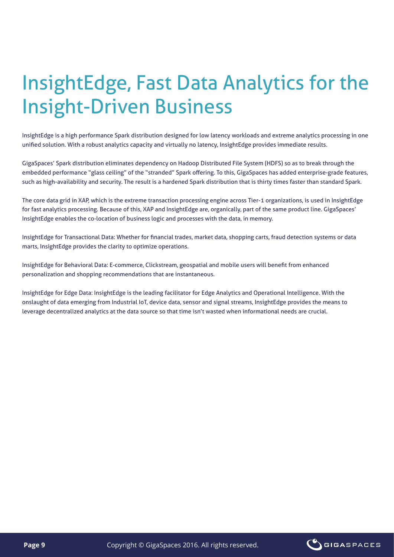## InsightEdge, Fast Data Analytics for the **Insight-Driven Business**

InsightEdge is a high performance Spark distribution designed for low latency workloads and extreme analytics processing in one unified solution. With a robust analytics capacity and virtually no latency, InsightEdge provides immediate results.

GigaSpaces' Spark distribution eliminates dependency on Hadoop Distributed File System (HDFS) so as to break through the embedded performance "glass ceiling" of the "stranded" Spark offering. To this, GigaSpaces has added enterprise-grade features, such as high-availability and security. The result is a hardened Spark distribution that is thirty times faster than standard Spark.

The core data grid in XAP, which is the extreme transaction processing engine across Tier-1 organizations, is used in InsightEdge for fast analytics processing. Because of this, XAP and InsightEdge are, organically, part of the same product line. GigaSpaces' InsightEdge enables the co-location of business logic and processes with the data, in memory.

InsightEdge for Transactional Data: Whether for financial trades, market data, shopping carts, fraud detection systems or data marts, InsightEdge provides the clarity to optimize operations.

InsightEdge for Behavioral Data: E-commerce, Clickstream, geospatial and mobile users will benefit from enhanced personalization and shopping recommendations that are instantaneous.

InsightEdge for Edge Data: InsightEdge is the leading facilitator for Edge Analytics and Operational Intelligence. With the onslaught of data emerging from Industrial IoT, device data, sensor and signal streams, InsightEdge provides the means to leverage decentralized analytics at the data source so that time isn't wasted when informational needs are crucial.